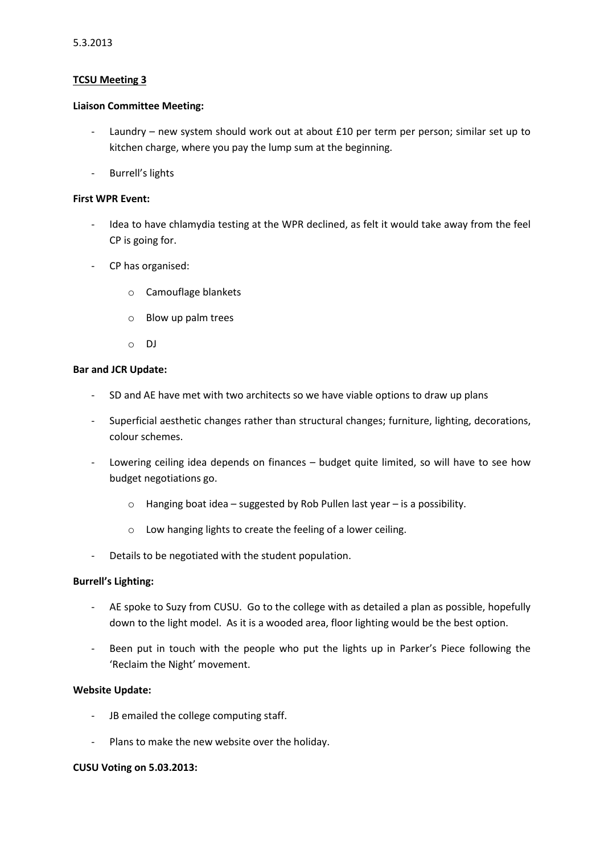### **TCSU Meeting 3**

#### **Liaison Committee Meeting:**

- Laundry new system should work out at about £10 per term per person; similar set up to kitchen charge, where you pay the lump sum at the beginning.
- Burrell's lights

### **First WPR Event:**

- Idea to have chlamydia testing at the WPR declined, as felt it would take away from the feel CP is going for.
- CP has organised:
	- o Camouflage blankets
	- o Blow up palm trees
	- o DJ

### **Bar and JCR Update:**

- SD and AE have met with two architects so we have viable options to draw up plans
- Superficial aesthetic changes rather than structural changes; furniture, lighting, decorations, colour schemes.
- Lowering ceiling idea depends on finances budget quite limited, so will have to see how budget negotiations go.
	- o Hanging boat idea suggested by Rob Pullen last year is a possibility.
	- o Low hanging lights to create the feeling of a lower ceiling.
- Details to be negotiated with the student population.

# **Burrell's Lighting:**

- AE spoke to Suzy from CUSU. Go to the college with as detailed a plan as possible, hopefully down to the light model. As it is a wooded area, floor lighting would be the best option.
- Been put in touch with the people who put the lights up in Parker's Piece following the 'Reclaim the Night' movement.

# **Website Update:**

- JB emailed the college computing staff.
- Plans to make the new website over the holiday.

# **CUSU Voting on 5.03.2013:**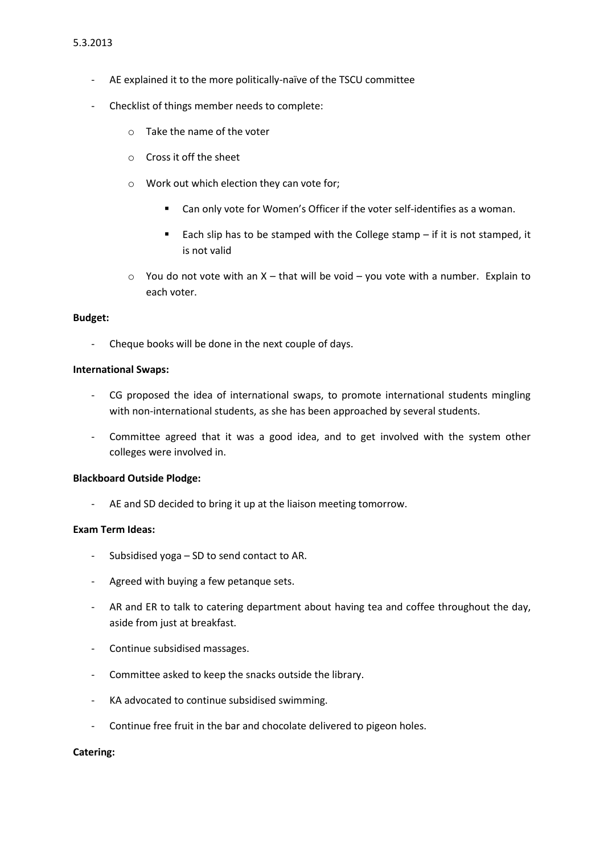- AE explained it to the more politically-naïve of the TSCU committee
- Checklist of things member needs to complete:
	- o Take the name of the voter
	- o Cross it off the sheet
	- o Work out which election they can vote for;
		- Can only vote for Women's Officer if the voter self-identifies as a woman.
		- Each slip has to be stamped with the College stamp  $-$  if it is not stamped, it is not valid
	- $\circ$  You do not vote with an X that will be void you vote with a number. Explain to each voter.

#### **Budget:**

- Cheque books will be done in the next couple of days.

### **International Swaps:**

- CG proposed the idea of international swaps, to promote international students mingling with non-international students, as she has been approached by several students.
- Committee agreed that it was a good idea, and to get involved with the system other colleges were involved in.

#### **Blackboard Outside Plodge:**

- AE and SD decided to bring it up at the liaison meeting tomorrow.

### **Exam Term Ideas:**

- Subsidised yoga SD to send contact to AR.
- Agreed with buying a few petanque sets.
- AR and ER to talk to catering department about having tea and coffee throughout the day, aside from just at breakfast.
- Continue subsidised massages.
- Committee asked to keep the snacks outside the library.
- KA advocated to continue subsidised swimming.
- Continue free fruit in the bar and chocolate delivered to pigeon holes.

#### **Catering:**